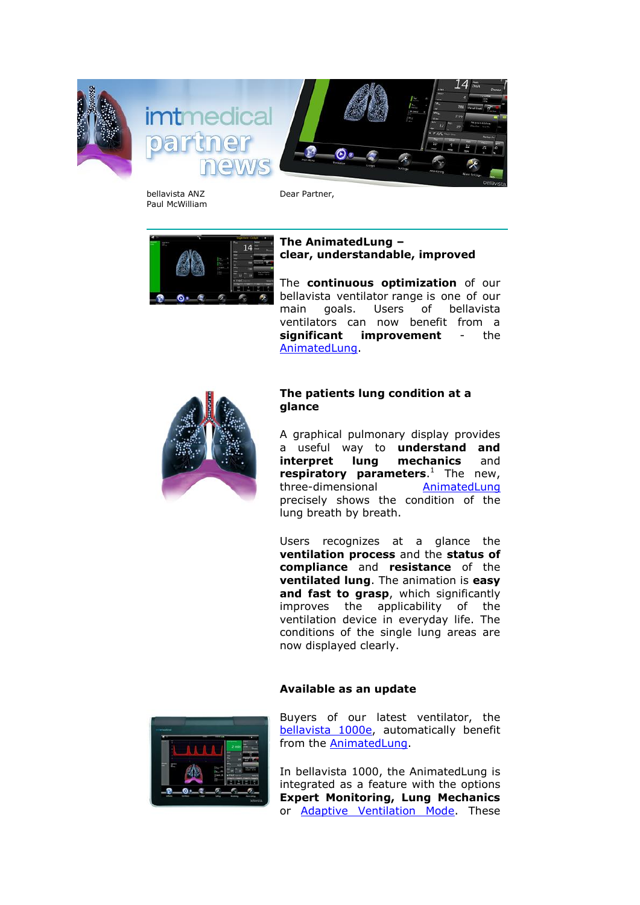



bellavista ANZ Paul McWilliam Dear Partner,



## **The AnimatedLung – clear, understandable, improved**

The **continuous optimization** of our bellavista ventilator range is one of our main goals. Users of bellavista ventilators can now benefit from a **significant improvement** - the [AnimatedLung.](https://imtmedical.com/Bellavista/Features)



## **The patients lung condition at a glance**

A graphical pulmonary display provides a useful way to **understand and interpret lung mechanics** and **respiratory parameters**. <sup>1</sup> The new, three-dimensional [AnimatedLung](https://imtmedical.com/Bellavista/Features) precisely shows the condition of the lung breath by breath.

Users recognizes at a glance the **ventilation process** and the **status of compliance** and **resistance** of the **ventilated lung**. The animation is **easy and fast to grasp**, which significantly improves the applicability of the ventilation device in everyday life. The conditions of the single lung areas are now displayed clearly.

## **Available as an update**



Buyers of our latest ventilator, the [bellavista 1000e,](https://imtmedical.com/Bellavista/Bellavista1000e) automatically benefit from the [AnimatedLung.](https://imtmedical.com/Bellavista/Features)

In bellavista 1000, the AnimatedLung is integrated as a feature with the options **Expert Monitoring, Lung Mechanics** or [Adaptive Ventilation Mode.](https://imtmedical.com/Resources/Images/Upload/ExtranetTemp/bellavista_avm_EN_imtmedical.pdf) These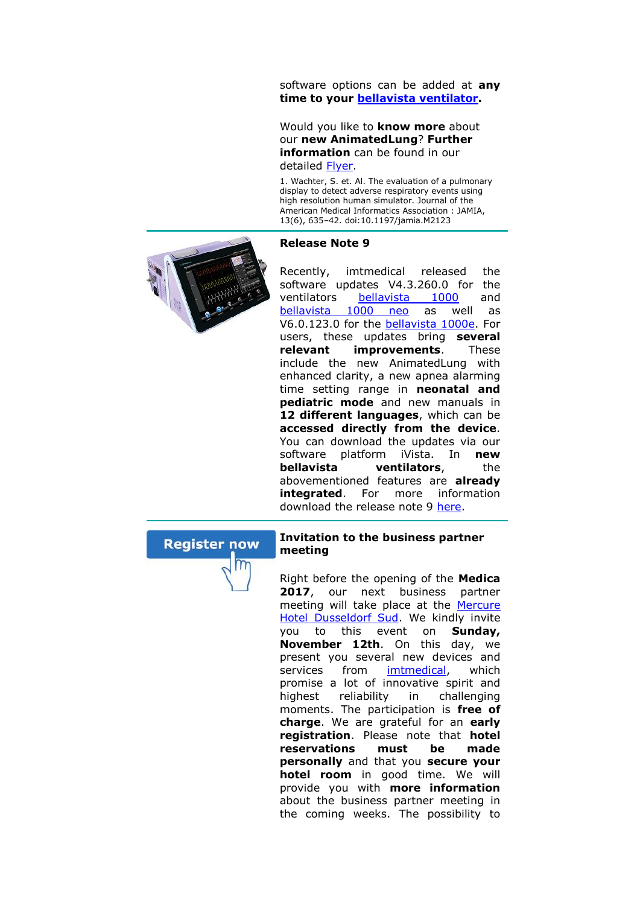software options can be added at **any time to your [bellavista ventilator.](https://imtmedical.com/Bellavista)**

Would you like to **know more** about our **new AnimatedLung**? **Further information** can be found in our detailed [Flyer.](https://imtmedical.com/Resources/Images/Upload/ExtranetTemp/bellavista_AnimatedLung_EN_imtmedical.pdf)

1. Wachter, S. et. Al. The evaluation of a pulmonary display to detect adverse respiratory events using high resolution human simulator. Journal of the American Medical Informatics Association : JAMIA, 13(6), 635–42. doi:10.1197/jamia.M2123





Recently, imtmedical released the software updates V4.3.260.0 for the ventilators [bellavista 1000](https://imtmedical.com/Bellavista/Bellavista1000) and [bellavista 1000 neo](https://imtmedical.com/Bellavista/BellavistaNeo) as well as V6.0.123.0 for the [bellavista 1000e.](https://imtmedical.com/Bellavista/Bellavista1000e) For users, these updates bring **several relevant improvements**. These include the new AnimatedLung with enhanced clarity, a new apnea alarming time setting range in **neonatal and pediatric mode** and new manuals in **12 different languages**, which can be **accessed directly from the device**. You can download the updates via our software platform iVista. In **new bellavista ventilators**, the abovementioned features are **already integrated**. For more information download the release note 9 [here.](https://downloads.imtmedical.com/files/Release_Note/release_note_09_bellavista_software.pdf)





## **Invitation to the business partner meeting**

Right before the opening of the **Medica**  2017, our next business partner meeting will take place at the [Mercure](https://www.mercure-hotel-dusseldorf-sud.com/de)  [Hotel Dusseldorf Sud.](https://www.mercure-hotel-dusseldorf-sud.com/de) We kindly invite you to this event on **Sunday, November 12th**. On this day, we present you several new devices and services from [imtmedical,](https://imtmedical.com/) which promise a lot of innovative spirit and highest reliability in challenging moments. The participation is **free of charge**. We are grateful for an **early registration**. Please note that **hotel reservations must be made personally** and that you **secure your hotel room** in good time. We will provide you with **more information** about the business partner meeting in the coming weeks. The possibility to